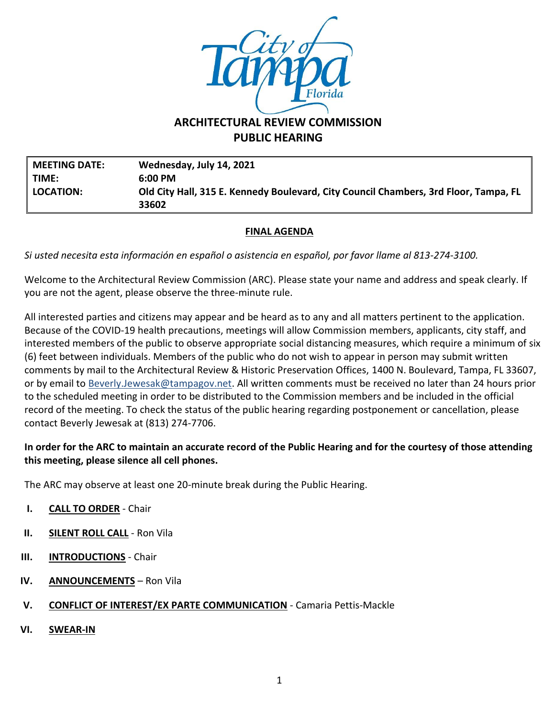

# **PUBLIC HEARING**

**MEETING DATE: Wednesday, July 14, 2021 TIME: 6:00 PM LOCATION: Old City Hall, 315 E. Kennedy Boulevard, City Council Chambers, 3rd Floor, Tampa, FL 33602**

### **FINAL AGENDA**

*Si usted necesita esta información en español o asistencia en español, por favor llame al 813-274-3100.*

Welcome to the Architectural Review Commission (ARC). Please state your name and address and speak clearly. If you are not the agent, please observe the three-minute rule.

All interested parties and citizens may appear and be heard as to any and all matters pertinent to the application. Because of the COVID-19 health precautions, meetings will allow Commission members, applicants, city staff, and interested members of the public to observe appropriate social distancing measures, which require a minimum of six (6) feet between individuals. Members of the public who do not wish to appear in person may submit written comments by mail to the Architectural Review & Historic Preservation Offices, 1400 N. Boulevard, Tampa, FL 33607, or by email to [Beverly.Jewesak@tampagov.net.](mailto:Beverly.Jewesak@tampagov.net) All written comments must be received no later than 24 hours prior to the scheduled meeting in order to be distributed to the Commission members and be included in the official record of the meeting. To check the status of the public hearing regarding postponement or cancellation, please contact Beverly Jewesak at (813) 274-7706.

#### **In order for the ARC to maintain an accurate record of the Public Hearing and for the courtesy of those attending this meeting, please silence all cell phones.**

The ARC may observe at least one 20-minute break during the Public Hearing.

- **I. CALL TO ORDER** Chair
- **II. SILENT ROLL CALL** Ron Vila
- **III. INTRODUCTIONS** Chair
- **IV. ANNOUNCEMENTS** Ron Vila
- **V. CONFLICT OF INTEREST/EX PARTE COMMUNICATION** Camaria Pettis-Mackle
- **VI. SWEAR-IN**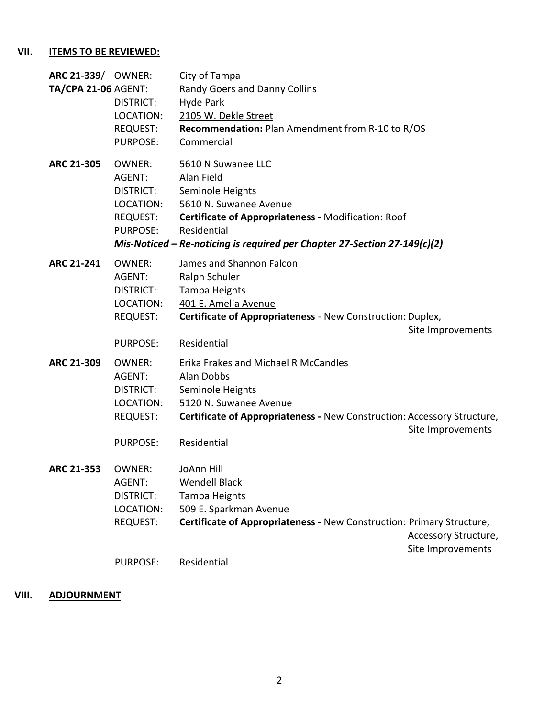## **VII. ITEMS TO BE REVIEWED:**

| ARC 21-339/ OWNER:<br><b>TA/CPA 21-06 AGENT:</b> | DISTRICT:<br>LOCATION:<br>REQUEST:<br><b>PURPOSE:</b>                                   | City of Tampa<br>Randy Goers and Danny Collins<br>Hyde Park<br>2105 W. Dekle Street<br>Recommendation: Plan Amendment from R-10 to R/OS<br>Commercial                                                                             |                                           |
|--------------------------------------------------|-----------------------------------------------------------------------------------------|-----------------------------------------------------------------------------------------------------------------------------------------------------------------------------------------------------------------------------------|-------------------------------------------|
| ARC 21-305                                       | OWNER:<br>AGENT:<br>DISTRICT:<br>LOCATION:<br>REQUEST:<br><b>PURPOSE:</b>               | 5610 N Suwanee LLC<br>Alan Field<br>Seminole Heights<br>5610 N. Suwanee Avenue<br>Certificate of Appropriateness - Modification: Roof<br>Residential<br>Mis-Noticed – Re-noticing is required per Chapter 27-Section 27-149(c)(2) |                                           |
| <b>ARC 21-241</b>                                | <b>OWNER:</b><br>AGENT:<br><b>DISTRICT:</b><br>LOCATION:<br>REQUEST:<br><b>PURPOSE:</b> | James and Shannon Falcon<br>Ralph Schuler<br><b>Tampa Heights</b><br>401 E. Amelia Avenue<br>Certificate of Appropriateness - New Construction: Duplex,<br>Residential                                                            | Site Improvements                         |
| ARC 21-309                                       | <b>OWNER:</b><br>AGENT:<br>DISTRICT:<br>LOCATION:<br><b>REQUEST:</b><br><b>PURPOSE:</b> | Erika Frakes and Michael R McCandles<br>Alan Dobbs<br>Seminole Heights<br>5120 N. Suwanee Avenue<br>Certificate of Appropriateness - New Construction: Accessory Structure,<br>Residential                                        | Site Improvements                         |
| ARC 21-353                                       | <b>OWNER:</b><br>AGENT:<br><b>DISTRICT:</b><br>LOCATION:<br>REQUEST:                    | JoAnn Hill<br><b>Wendell Black</b><br><b>Tampa Heights</b><br>509 E. Sparkman Avenue<br>Certificate of Appropriateness - New Construction: Primary Structure,                                                                     | Accessory Structure,<br>Site Improvements |
|                                                  | <b>PURPOSE:</b>                                                                         | Residential                                                                                                                                                                                                                       |                                           |

## **VIII. ADJOURNMENT**